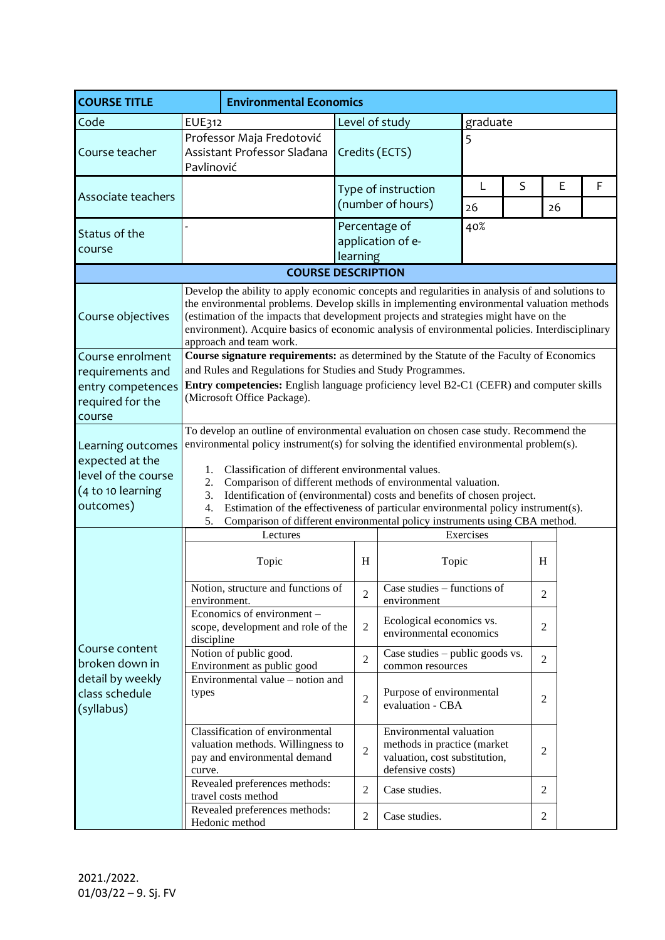| <b>COURSE TITLE</b>                                                                           |                                                                                                                                                                                                                                                                                                                                                                                                                                                                                                                                                                                  |                                                                                                                                                                                                                                                                                                                                                                                                  | <b>Environmental Economics</b> |                                          |                             |          |                |   |  |
|-----------------------------------------------------------------------------------------------|----------------------------------------------------------------------------------------------------------------------------------------------------------------------------------------------------------------------------------------------------------------------------------------------------------------------------------------------------------------------------------------------------------------------------------------------------------------------------------------------------------------------------------------------------------------------------------|--------------------------------------------------------------------------------------------------------------------------------------------------------------------------------------------------------------------------------------------------------------------------------------------------------------------------------------------------------------------------------------------------|--------------------------------|------------------------------------------|-----------------------------|----------|----------------|---|--|
| Code                                                                                          | <b>EUE312</b>                                                                                                                                                                                                                                                                                                                                                                                                                                                                                                                                                                    |                                                                                                                                                                                                                                                                                                                                                                                                  | Level of study                 |                                          |                             | graduate |                |   |  |
| Course teacher                                                                                | Pavlinović                                                                                                                                                                                                                                                                                                                                                                                                                                                                                                                                                                       | Professor Maja Fredotović<br>Assistant Professor Sladana                                                                                                                                                                                                                                                                                                                                         | Credits (ECTS)                 |                                          | 5                           |          |                |   |  |
| Associate teachers                                                                            |                                                                                                                                                                                                                                                                                                                                                                                                                                                                                                                                                                                  |                                                                                                                                                                                                                                                                                                                                                                                                  |                                | Type of instruction<br>(number of hours) | S<br>E<br>L<br>26<br>26     |          |                | F |  |
| Status of the<br>course                                                                       |                                                                                                                                                                                                                                                                                                                                                                                                                                                                                                                                                                                  |                                                                                                                                                                                                                                                                                                                                                                                                  | Percentage of<br>learning      | application of e-                        | 40%                         |          |                |   |  |
|                                                                                               |                                                                                                                                                                                                                                                                                                                                                                                                                                                                                                                                                                                  | <b>COURSE DESCRIPTION</b>                                                                                                                                                                                                                                                                                                                                                                        |                                |                                          |                             |          |                |   |  |
| Course objectives                                                                             | Develop the ability to apply economic concepts and regularities in analysis of and solutions to<br>the environmental problems. Develop skills in implementing environmental valuation methods<br>(estimation of the impacts that development projects and strategies might have on the<br>environment). Acquire basics of economic analysis of environmental policies. Interdisciplinary<br>approach and team work.                                                                                                                                                              |                                                                                                                                                                                                                                                                                                                                                                                                  |                                |                                          |                             |          |                |   |  |
| Course enrolment                                                                              |                                                                                                                                                                                                                                                                                                                                                                                                                                                                                                                                                                                  |                                                                                                                                                                                                                                                                                                                                                                                                  |                                |                                          |                             |          |                |   |  |
| requirements and<br>entry competences<br>required for the<br>course                           | Course signature requirements: as determined by the Statute of the Faculty of Economics<br>and Rules and Regulations for Studies and Study Programmes.<br><b>Entry competencies:</b> English language proficiency level B2-C1 (CEFR) and computer skills<br>(Microsoft Office Package).                                                                                                                                                                                                                                                                                          |                                                                                                                                                                                                                                                                                                                                                                                                  |                                |                                          |                             |          |                |   |  |
| Learning outcomes<br>expected at the<br>level of the course<br>(4 to 10 learning<br>outcomes) | To develop an outline of environmental evaluation on chosen case study. Recommend the<br>environmental policy instrument(s) for solving the identified environmental problem(s).<br>Classification of different environmental values.<br>1.<br>Comparison of different methods of environmental valuation.<br>2.<br>3.<br>Identification of (environmental) costs and benefits of chosen project.<br>4.<br>Estimation of the effectiveness of particular environmental policy instrument(s).<br>Comparison of different environmental policy instruments using CBA method.<br>5. |                                                                                                                                                                                                                                                                                                                                                                                                  |                                |                                          |                             |          |                |   |  |
|                                                                                               |                                                                                                                                                                                                                                                                                                                                                                                                                                                                                                                                                                                  | Lectures                                                                                                                                                                                                                                                                                                                                                                                         |                                |                                          | Exercises                   |          |                |   |  |
| Course content<br>broken down in<br>detail by weekly<br>class schedule<br>(syllabus)          |                                                                                                                                                                                                                                                                                                                                                                                                                                                                                                                                                                                  | Topic                                                                                                                                                                                                                                                                                                                                                                                            | H<br>Topic                     |                                          |                             | H        |                |   |  |
|                                                                                               | environment.                                                                                                                                                                                                                                                                                                                                                                                                                                                                                                                                                                     | Notion, structure and functions of                                                                                                                                                                                                                                                                                                                                                               | $\overline{2}$                 | environment                              | Case studies - functions of |          | $\overline{2}$ |   |  |
|                                                                                               |                                                                                                                                                                                                                                                                                                                                                                                                                                                                                                                                                                                  | Economics of environment -<br>Ecological economics vs.<br>$\overline{2}$<br>scope, development and role of the<br>environmental economics<br>discipline<br>Notion of public good.<br>Case studies $-$ public goods vs.<br>$\overline{2}$<br>Environment as public good<br>common resources<br>Environmental value – notion and<br>Purpose of environmental<br>$\overline{2}$<br>evaluation - CBA |                                |                                          |                             |          | $\overline{2}$ |   |  |
|                                                                                               |                                                                                                                                                                                                                                                                                                                                                                                                                                                                                                                                                                                  |                                                                                                                                                                                                                                                                                                                                                                                                  |                                |                                          | $\overline{2}$              |          |                |   |  |
|                                                                                               | types                                                                                                                                                                                                                                                                                                                                                                                                                                                                                                                                                                            |                                                                                                                                                                                                                                                                                                                                                                                                  |                                |                                          | 2                           |          |                |   |  |
|                                                                                               | curve.                                                                                                                                                                                                                                                                                                                                                                                                                                                                                                                                                                           | Classification of environmental<br>Environmental valuation<br>valuation methods. Willingness to<br>methods in practice (market<br>$\overline{2}$<br>$\overline{2}$<br>pay and environmental demand<br>valuation, cost substitution,<br>defensive costs)                                                                                                                                          |                                |                                          |                             |          |                |   |  |
|                                                                                               |                                                                                                                                                                                                                                                                                                                                                                                                                                                                                                                                                                                  | Revealed preferences methods:<br>$\overline{2}$<br>Case studies.<br>2<br>travel costs method                                                                                                                                                                                                                                                                                                     |                                |                                          |                             |          |                |   |  |
|                                                                                               |                                                                                                                                                                                                                                                                                                                                                                                                                                                                                                                                                                                  | Revealed preferences methods:<br>Hedonic method                                                                                                                                                                                                                                                                                                                                                  | Case studies.<br>2             |                                          |                             |          | 2              |   |  |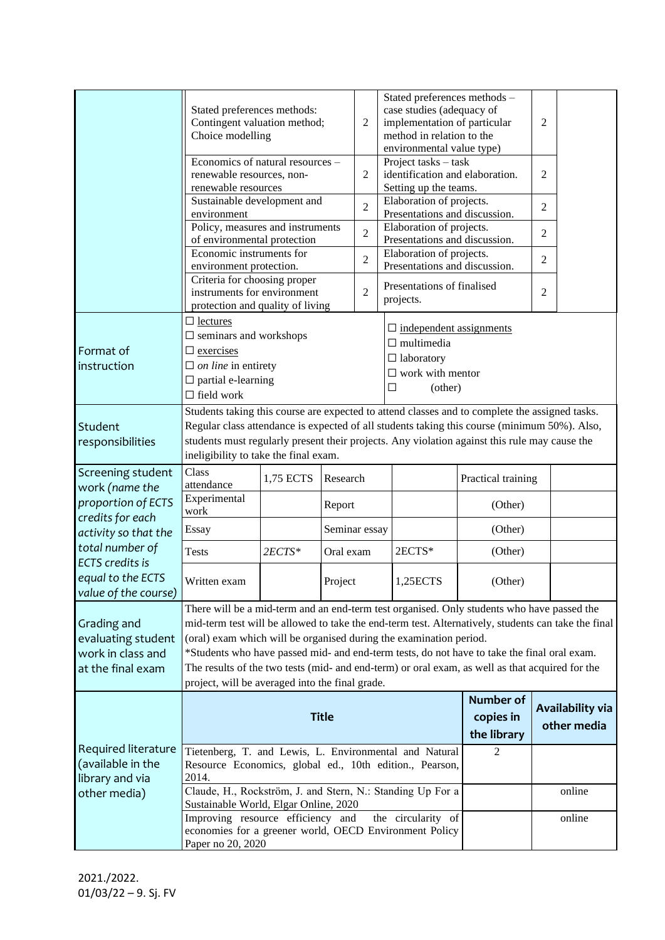|                                                                             | Stated preferences methods:<br>Contingent valuation method;<br>$\overline{2}$<br>Choice modelling                                                                                                                                                                                                                                                                                                                                                                                                                            |                       |               | Stated preferences methods -<br>case studies (adequacy of<br>implementation of particular<br>method in relation to the<br>environmental value type) | $\overline{c}$                                                                   |                                                                                                                      |                    |                                 |        |  |
|-----------------------------------------------------------------------------|------------------------------------------------------------------------------------------------------------------------------------------------------------------------------------------------------------------------------------------------------------------------------------------------------------------------------------------------------------------------------------------------------------------------------------------------------------------------------------------------------------------------------|-----------------------|---------------|-----------------------------------------------------------------------------------------------------------------------------------------------------|----------------------------------------------------------------------------------|----------------------------------------------------------------------------------------------------------------------|--------------------|---------------------------------|--------|--|
|                                                                             | Economics of natural resources -<br>renewable resources, non-<br>renewable resources                                                                                                                                                                                                                                                                                                                                                                                                                                         |                       |               | 2                                                                                                                                                   | Project tasks - task<br>identification and elaboration.<br>Setting up the teams. |                                                                                                                      | $\overline{2}$     |                                 |        |  |
|                                                                             | Sustainable development and<br>environment                                                                                                                                                                                                                                                                                                                                                                                                                                                                                   |                       |               | $\overline{2}$                                                                                                                                      |                                                                                  | Elaboration of projects.<br>$\overline{2}$<br>Presentations and discussion.                                          |                    |                                 |        |  |
|                                                                             | Policy, measures and instruments<br>of environmental protection                                                                                                                                                                                                                                                                                                                                                                                                                                                              |                       |               | $\overline{2}$                                                                                                                                      |                                                                                  | Elaboration of projects.<br>$\overline{2}$<br>Presentations and discussion.                                          |                    |                                 |        |  |
|                                                                             | Economic instruments for<br>environment protection.                                                                                                                                                                                                                                                                                                                                                                                                                                                                          |                       |               | $\overline{2}$                                                                                                                                      |                                                                                  | Elaboration of projects.<br>$\overline{2}$<br>Presentations and discussion.                                          |                    |                                 |        |  |
|                                                                             | Criteria for choosing proper<br>instruments for environment<br>protection and quality of living                                                                                                                                                                                                                                                                                                                                                                                                                              |                       |               | $\overline{2}$                                                                                                                                      |                                                                                  | Presentations of finalised<br>projects.                                                                              |                    | $\overline{2}$                  |        |  |
| Format of<br>instruction                                                    | $\Box$ lectures<br>$\square$ seminars and workshops<br>$\Box$ exercises<br>$\Box$ on line in entirety<br>$\Box$ partial e-learning<br>$\Box$ field work                                                                                                                                                                                                                                                                                                                                                                      |                       |               |                                                                                                                                                     | □                                                                                | $\square$ independent assignments<br>$\Box$ multimedia<br>$\Box$ laboratory<br>$\square$ work with mentor<br>(other) |                    |                                 |        |  |
| Student<br>responsibilities                                                 | Students taking this course are expected to attend classes and to complete the assigned tasks.<br>Regular class attendance is expected of all students taking this course (minimum 50%). Also,<br>students must regularly present their projects. Any violation against this rule may cause the<br>ineligibility to take the final exam.                                                                                                                                                                                     |                       |               |                                                                                                                                                     |                                                                                  |                                                                                                                      |                    |                                 |        |  |
| Screening student<br>work (name the                                         | Class<br>attendance                                                                                                                                                                                                                                                                                                                                                                                                                                                                                                          | 1,75 ECTS<br>Research |               |                                                                                                                                                     |                                                                                  |                                                                                                                      | Practical training |                                 |        |  |
| proportion of ECTS<br>credits for each<br>activity so that the              | Experimental<br>work                                                                                                                                                                                                                                                                                                                                                                                                                                                                                                         |                       | Report        |                                                                                                                                                     |                                                                                  |                                                                                                                      | (Other)            |                                 |        |  |
|                                                                             | Essay                                                                                                                                                                                                                                                                                                                                                                                                                                                                                                                        |                       | Seminar essay |                                                                                                                                                     |                                                                                  |                                                                                                                      | (Other)            |                                 |        |  |
| total number of<br><b>ECTS</b> credits is                                   | <b>Tests</b>                                                                                                                                                                                                                                                                                                                                                                                                                                                                                                                 | $2ECTS*$              | Oral exam     |                                                                                                                                                     |                                                                                  | 2ECTS*                                                                                                               | (Other)            |                                 |        |  |
| equal to the ECTS<br>value of the course)                                   | Written exam                                                                                                                                                                                                                                                                                                                                                                                                                                                                                                                 |                       | Project       |                                                                                                                                                     | 1,25ECTS                                                                         | (Other)                                                                                                              |                    |                                 |        |  |
| Grading and<br>evaluating student<br>work in class and<br>at the final exam | There will be a mid-term and an end-term test organised. Only students who have passed the<br>mid-term test will be allowed to take the end-term test. Alternatively, students can take the final<br>(oral) exam which will be organised during the examination period.<br>*Students who have passed mid- and end-term tests, do not have to take the final oral exam.<br>The results of the two tests (mid- and end-term) or oral exam, as well as that acquired for the<br>project, will be averaged into the final grade. |                       |               |                                                                                                                                                     |                                                                                  |                                                                                                                      |                    |                                 |        |  |
|                                                                             | <b>Title</b>                                                                                                                                                                                                                                                                                                                                                                                                                                                                                                                 |                       |               |                                                                                                                                                     |                                                                                  | <b>Number of</b><br>copies in<br>the library                                                                         |                    | Availability via<br>other media |        |  |
| Required literature<br>(available in the<br>library and via<br>other media) | Tietenberg, T. and Lewis, L. Environmental and Natural<br>Resource Economics, global ed., 10th edition., Pearson,<br>2014.                                                                                                                                                                                                                                                                                                                                                                                                   |                       |               |                                                                                                                                                     |                                                                                  |                                                                                                                      | 2                  |                                 |        |  |
|                                                                             | Claude, H., Rockström, J. and Stern, N.: Standing Up For a<br>Sustainable World, Elgar Online, 2020                                                                                                                                                                                                                                                                                                                                                                                                                          |                       |               |                                                                                                                                                     |                                                                                  |                                                                                                                      |                    |                                 | online |  |
|                                                                             | Improving resource efficiency and<br>the circularity of<br>economies for a greener world, OECD Environment Policy<br>Paper no 20, 2020                                                                                                                                                                                                                                                                                                                                                                                       |                       |               |                                                                                                                                                     |                                                                                  |                                                                                                                      |                    | online                          |        |  |